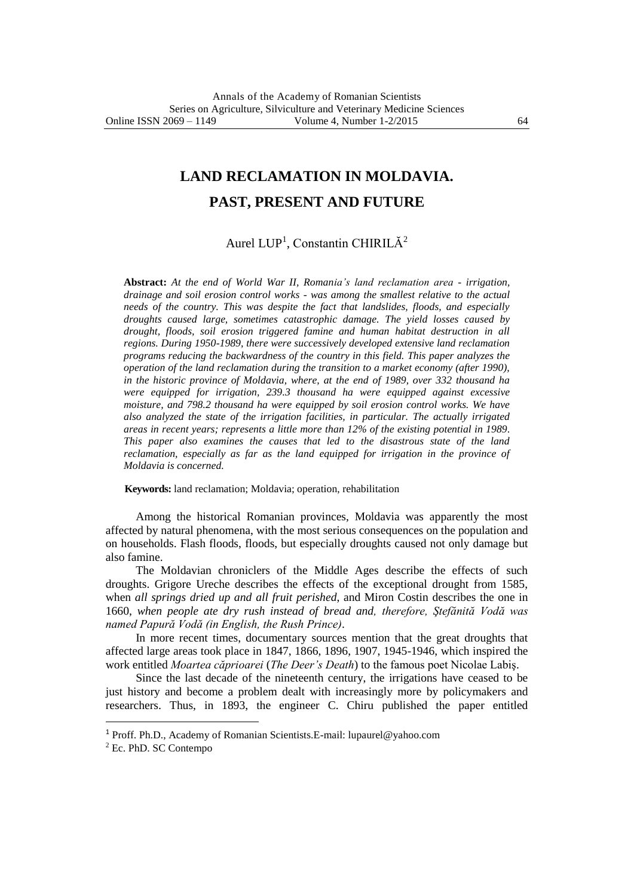## **LAND RECLAMATION IN MOLDAVIA.**

## **PAST, PRESENT AND FUTURE**

Aurel LUP<sup>1</sup>, Constantin CHIRILĂ<sup>2</sup>

**Abstract:** *At the end of World War II, Romania's land reclamation area - irrigation, drainage and soil erosion control works - was among the smallest relative to the actual needs of the country. This was despite the fact that landslides, floods, and especially droughts caused large, sometimes catastrophic damage. The yield losses caused by drought, floods, soil erosion triggered famine and human habitat destruction in all regions. During 1950-1989, there were successively developed extensive land reclamation programs reducing the backwardness of the country in this field. This paper analyzes the operation of the land reclamation during the transition to a market economy (after 1990), in the historic province of Moldavia, where, at the end of 1989, over 332 thousand ha were equipped for irrigation, 239.3 thousand ha were equipped against excessive moisture, and 798.2 thousand ha were equipped by soil erosion control works. We have also analyzed the state of the irrigation facilities, in particular. The actually irrigated areas in recent years; represents a little more than 12% of the existing potential in 1989. This paper also examines the causes that led to the disastrous state of the land reclamation, especially as far as the land equipped for irrigation in the province of Moldavia is concerned.*

**Keywords:** land reclamation; Moldavia; operation, rehabilitation

Among the historical Romanian provinces, Moldavia was apparently the most affected by natural phenomena, with the most serious consequences on the population and on households. Flash floods, floods, but especially droughts caused not only damage but also famine.

The Moldavian chroniclers of the Middle Ages describe the effects of such droughts. Grigore Ureche describes the effects of the exceptional drought from 1585, when *all springs dried up and all fruit perished*, and Miron Costin describes the one in 1660, *when people ate dry rush instead of bread and, therefore, Ştefănită Vodă was named Papură Vodă (in English, the Rush Prince)*.

In more recent times, documentary sources mention that the great droughts that affected large areas took place in 1847, 1866, 1896, 1907, 1945-1946, which inspired the work entitled *Moartea căprioarei* (*The Deer's Death*) to the famous poet Nicolae Labiş.

Since the last decade of the nineteenth century, the irrigations have ceased to be just history and become a problem dealt with increasingly more by policymakers and researchers. Thus, in 1893, the engineer C. Chiru published the paper entitled

 $\overline{a}$ 

<sup>1</sup> Proff. Ph.D., Academy of Romanian Scientists.E-mail: lupaurel@yahoo.com

<sup>2</sup> Ec. PhD. SC Contempo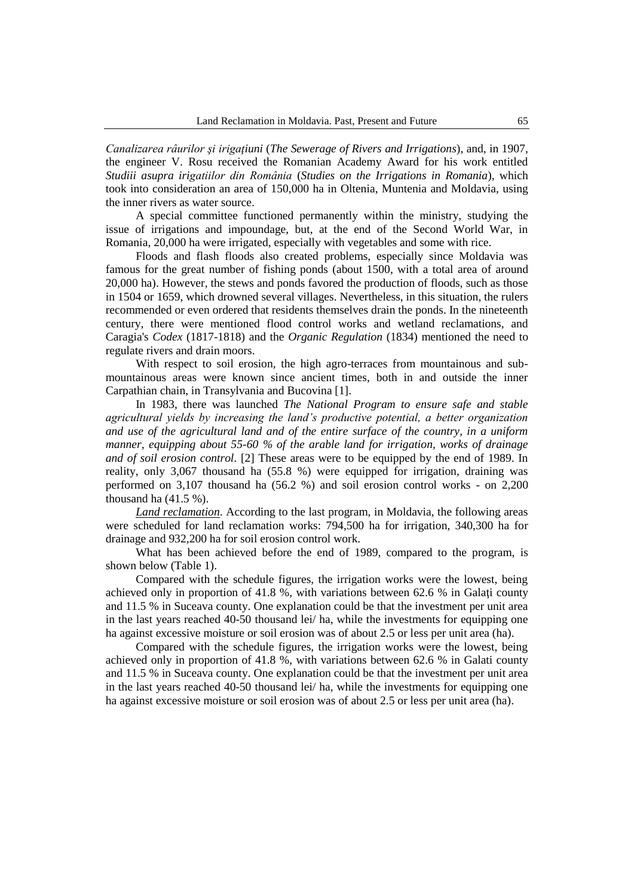*Canalizarea râurilor şi irigaţiuni* (*The Sewerage of Rivers and Irrigations*), and, in 1907, the engineer V. Rosu received the Romanian Academy Award for his work entitled *Studiii asupra irigatiilor din România* (*Studies on the Irrigations in Romania*), which took into consideration an area of 150,000 ha in Oltenia, Muntenia and Moldavia, using the inner rivers as water source.

A special committee functioned permanently within the ministry, studying the issue of irrigations and impoundage, but, at the end of the Second World War, in Romania, 20,000 ha were irrigated, especially with vegetables and some with rice.

Floods and flash floods also created problems, especially since Moldavia was famous for the great number of fishing ponds (about 1500, with a total area of around 20,000 ha). However, the stews and ponds favored the production of floods, such as those in 1504 or 1659, which drowned several villages. Nevertheless, in this situation, the rulers recommended or even ordered that residents themselves drain the ponds. In the nineteenth century, there were mentioned flood control works and wetland reclamations, and Caragia's *Codex* (1817-1818) and the *Organic Regulation* (1834) mentioned the need to regulate rivers and drain moors.

With respect to soil erosion, the high agro-terraces from mountainous and submountainous areas were known since ancient times, both in and outside the inner Carpathian chain, in Transylvania and Bucovina [1].

In 1983, there was launched *The National Program to ensure safe and stable agricultural yields by increasing the land's productive potential, a better organization and use of the agricultural land and of the entire surface of the country, in a uniform manner, equipping about 55-60 % of the arable land for irrigation, works of drainage and of soil erosion control*. [2] These areas were to be equipped by the end of 1989. In reality, only 3,067 thousand ha (55.8 %) were equipped for irrigation, draining was performed on 3,107 thousand ha (56.2 %) and soil erosion control works - on 2,200 thousand ha (41.5 %).

*Land reclamation*. According to the last program, in Moldavia, the following areas were scheduled for land reclamation works: 794,500 ha for irrigation, 340,300 ha for drainage and 932,200 ha for soil erosion control work.

What has been achieved before the end of 1989, compared to the program, is shown below (Table 1).

Compared with the schedule figures, the irrigation works were the lowest, being achieved only in proportion of 41.8 %, with variations between 62.6 % in Galati county and 11.5 % in Suceava county. One explanation could be that the investment per unit area in the last years reached 40-50 thousand lei/ ha, while the investments for equipping one ha against excessive moisture or soil erosion was of about 2.5 or less per unit area (ha).

Compared with the schedule figures, the irrigation works were the lowest, being achieved only in proportion of 41.8 %, with variations between 62.6 % in Galati county and 11.5 % in Suceava county. One explanation could be that the investment per unit area in the last years reached 40-50 thousand lei/ ha, while the investments for equipping one ha against excessive moisture or soil erosion was of about 2.5 or less per unit area (ha).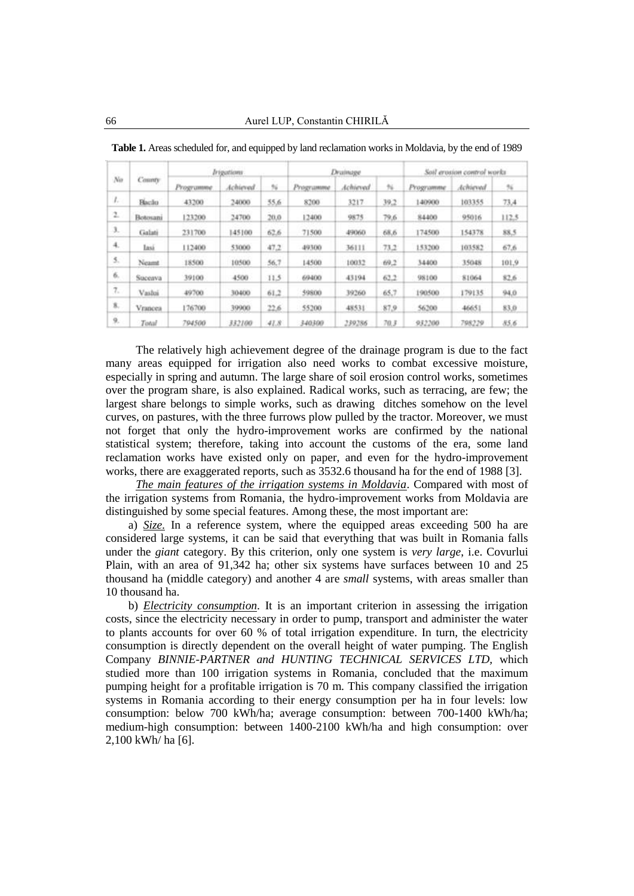| No  | County        | Irigations |          |      | Drainage  |          |      | Soil erosion control works |          |       |
|-----|---------------|------------|----------|------|-----------|----------|------|----------------------------|----------|-------|
|     |               | Programme  | Achieved | N    | Programme | Achieved | 96   | Programme                  | Achieved | 96    |
| ı.  | <b>Hacilo</b> | 43200      | 24000    | 35.6 | 8200      | 3217     | 39.2 | 140900                     | 103355   | 73.4  |
| 2.  | Botosani      | 123200     | 24700    | 20.0 | 12400     | 9875     | 79,6 | 84400                      | 95016    | 112.5 |
| 3.  | Galati        | 231700     | 145100   | 62.6 | 71500     | 49060    | 68.6 | 174500                     | 154378   | 88.5  |
| 4.  | Iasi          | 112400     | 53000    | 47.2 | 49300     | 36111    | 73.2 | 153200                     | 103582   | 67.6  |
| 5.  | Neamt         | 18500      | 10500    | 56.7 | 14500     | 10032    | 69.2 | 34400                      | 35048    | 101.9 |
| 6.  | Suceava       | 39100      | 4500     | 11.5 | 69400     | 43194    | 63.2 | 98100                      | 81064    | 82.6  |
| 7.  | Vasbai        | 49700      | 30400    | 61.2 | 59800     | 39260    | 65.7 | 190500                     | 179135   | 94.0  |
| \$. | Vrancea       | 176700     | 39900    | 22.6 | 55200     | 48531    | 87.9 | 56200                      | 46651    | 83.0  |
| 9.  | Total         | 794500     | 332100   | 41.8 | 340300    | 239286   | 70.3 | 932200                     | 798229   | 85.6  |

**Table 1.** Areas scheduled for, and equipped by land reclamation works in Moldavia, by the end of 1989

The relatively high achievement degree of the drainage program is due to the fact many areas equipped for irrigation also need works to combat excessive moisture, especially in spring and autumn. The large share of soil erosion control works, sometimes over the program share, is also explained. Radical works, such as terracing, are few; the largest share belongs to simple works, such as drawing ditches somehow on the level curves, on pastures, with the three furrows plow pulled by the tractor. Moreover, we must not forget that only the hydro-improvement works are confirmed by the national statistical system; therefore, taking into account the customs of the era, some land reclamation works have existed only on paper, and even for the hydro-improvement works, there are exaggerated reports, such as 3532.6 thousand ha for the end of 1988 [3].

*The main features of the irrigation systems in Moldavia*. Compared with most of the irrigation systems from Romania, the hydro-improvement works from Moldavia are distinguished by some special features. Among these, the most important are:

a) *Size.* In a reference system, where the equipped areas exceeding 500 ha are considered large systems, it can be said that everything that was built in Romania falls under the *giant* category. By this criterion, only one system is *very large*, i.e. Covurlui Plain, with an area of 91,342 ha; other six systems have surfaces between 10 and 25 thousand ha (middle category) and another 4 are *small* systems, with areas smaller than 10 thousand ha.

b) *Electricity consumption*. It is an important criterion in assessing the irrigation costs, since the electricity necessary in order to pump, transport and administer the water to plants accounts for over 60 % of total irrigation expenditure. In turn, the electricity consumption is directly dependent on the overall height of water pumping. The English Company *BINNIE-PARTNER and HUNTING TECHNICAL SERVICES LTD,* which studied more than 100 irrigation systems in Romania, concluded that the maximum pumping height for a profitable irrigation is 70 m. This company classified the irrigation systems in Romania according to their energy consumption per ha in four levels: low consumption: below 700 kWh/ha; average consumption: between 700-1400 kWh/ha; medium-high consumption: between 1400-2100 kWh/ha and high consumption: over 2,100 kWh/ ha [6].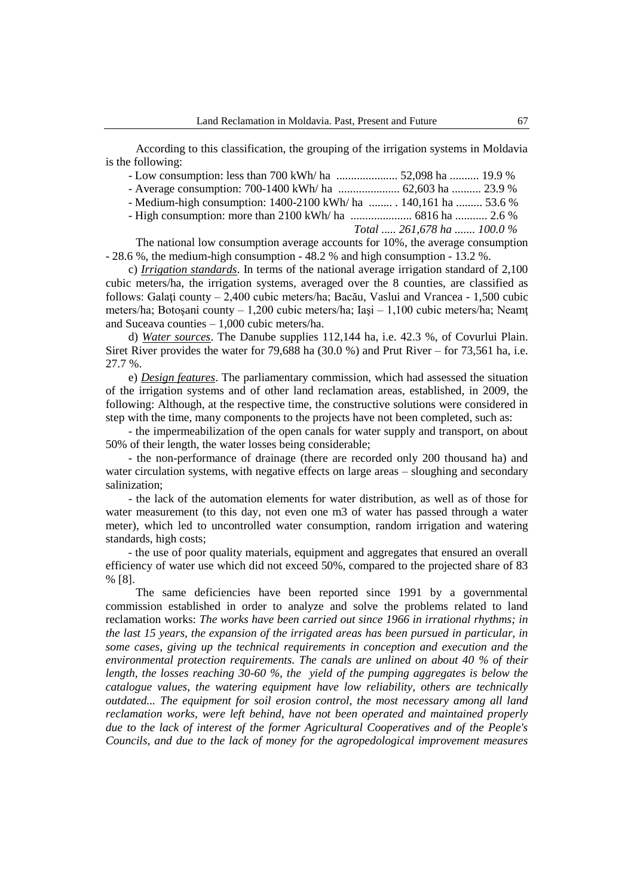According to this classification, the grouping of the irrigation systems in Moldavia is the following:

| - Medium-high consumption: 1400-2100 kWh/ ha  140,161 ha  53.6 % |                            |  |
|------------------------------------------------------------------|----------------------------|--|
|                                                                  |                            |  |
|                                                                  | Total  261,678 ha  100.0 % |  |

The national low consumption average accounts for 10%, the average consumption - 28.6 %, the medium-high consumption - 48.2 % and high consumption - 13.2 %.

c) *Irrigation standards*. In terms of the national average irrigation standard of 2,100 cubic meters/ha, the irrigation systems, averaged over the 8 counties, are classified as follows: Galaţi county – 2,400 cubic meters/ha; Bacău, Vaslui and Vrancea - 1,500 cubic meters/ha; Botoşani county – 1,200 cubic meters/ha; Iaşi – 1,100 cubic meters/ha; Neamţ and Suceava counties – 1,000 cubic meters/ha.

d) *Water sources*. The Danube supplies 112,144 ha, i.e. 42.3 %, of Covurlui Plain. Siret River provides the water for 79,688 ha  $(30.0 %)$  and Prut River – for 73,561 ha, i.e. 27.7 %.

e) *Design features*. The parliamentary commission, which had assessed the situation of the irrigation systems and of other land reclamation areas, established, in 2009, the following: Although, at the respective time, the constructive solutions were considered in step with the time, many components to the projects have not been completed, such as:

- the impermeabilization of the open canals for water supply and transport, on about 50% of their length, the water losses being considerable;

- the non-performance of drainage (there are recorded only 200 thousand ha) and water circulation systems, with negative effects on large areas – sloughing and secondary salinization;

- the lack of the automation elements for water distribution, as well as of those for water measurement (to this day, not even one m3 of water has passed through a water meter), which led to uncontrolled water consumption, random irrigation and watering standards, high costs;

- the use of poor quality materials, equipment and aggregates that ensured an overall efficiency of water use which did not exceed 50%, compared to the projected share of 83 % [8].

The same deficiencies have been reported since 1991 by a governmental commission established in order to analyze and solve the problems related to land reclamation works: *The works have been carried out since 1966 in irrational rhythms; in the last 15 years, the expansion of the irrigated areas has been pursued in particular, in some cases, giving up the technical requirements in conception and execution and the environmental protection requirements. The canals are unlined on about 40 % of their length, the losses reaching 30-60 %, the yield of the pumping aggregates is below the catalogue values, the watering equipment have low reliability, others are technically outdated... The equipment for soil erosion control, the most necessary among all land reclamation works, were left behind, have not been operated and maintained properly due to the lack of interest of the former Agricultural Cooperatives and of the People's Councils, and due to the lack of money for the agropedological improvement measures*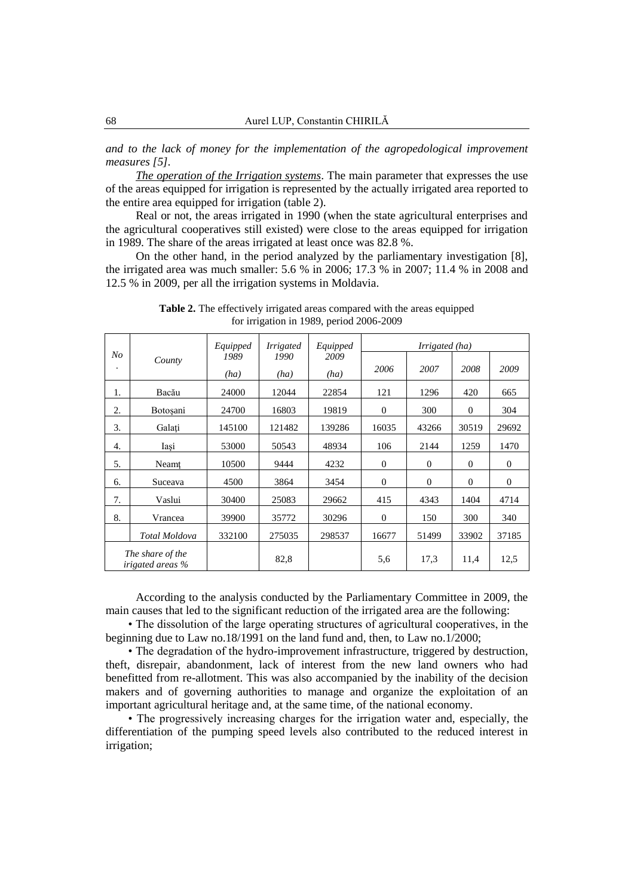*and to the lack of money for the implementation of the agropedological improvement measures [5].*

*The operation of the Irrigation systems*. The main parameter that expresses the use of the areas equipped for irrigation is represented by the actually irrigated area reported to the entire area equipped for irrigation (table 2).

Real or not, the areas irrigated in 1990 (when the state agricultural enterprises and the agricultural cooperatives still existed) were close to the areas equipped for irrigation in 1989. The share of the areas irrigated at least once was 82.8 %.

On the other hand, in the period analyzed by the parliamentary investigation [8], the irrigated area was much smaller: 5.6 % in 2006; 17.3 % in 2007; 11.4 % in 2008 and 12.5 % in 2009, per all the irrigation systems in Moldavia.

|                                             | County          | Equipped     | <b>Irrigated</b> | Equipped     | Irrigated (ha) |              |              |              |
|---------------------------------------------|-----------------|--------------|------------------|--------------|----------------|--------------|--------------|--------------|
| N <sub>O</sub><br>٠                         |                 | 1989<br>(ha) | 1990<br>(ha)     | 2009<br>(ha) | 2006           | 2007         | 2008         | 2009         |
| 1.                                          | Bacău           | 24000        | 12044            | 22854        | 121            | 1296         | 420          | 665          |
| 2.                                          | <b>Botosani</b> | 24700        | 16803            | 19819        | $\theta$       | 300          | $\mathbf{0}$ | 304          |
| 3.                                          | Galati          | 145100       | 121482           | 139286       | 16035          | 43266        | 30519        | 29692        |
| 4.                                          | Iași            | 53000        | 50543            | 48934        | 106            | 2144         | 1259         | 1470         |
| 5.                                          | Neamt           | 10500        | 9444             | 4232         | $\theta$       | $\mathbf{0}$ | $\theta$     | $\mathbf{0}$ |
| 6.                                          | Suceava         | 4500         | 3864             | 3454         | $\theta$       | $\mathbf{0}$ | $\theta$     | $\mathbf{0}$ |
| 7.                                          | Vaslui          | 30400        | 25083            | 29662        | 415            | 4343         | 1404         | 4714         |
| 8.                                          | Vrancea         | 39900        | 35772            | 30296        | $\theta$       | 150          | 300          | 340          |
|                                             | Total Moldova   | 332100       | 275035           | 298537       | 16677          | 51499        | 33902        | 37185        |
| The share of the<br><i>irigated areas</i> % |                 |              | 82,8             |              | 5,6            | 17,3         | 11,4         | 12,5         |

**Table 2.** The effectively irrigated areas compared with the areas equipped for irrigation in 1989, period 2006-2009

According to the analysis conducted by the Parliamentary Committee in 2009, the main causes that led to the significant reduction of the irrigated area are the following:

• The dissolution of the large operating structures of agricultural cooperatives, in the beginning due to Law no.18/1991 on the land fund and, then, to Law no.1/2000;

• The degradation of the hydro-improvement infrastructure, triggered by destruction, theft, disrepair, abandonment, lack of interest from the new land owners who had benefitted from re-allotment. This was also accompanied by the inability of the decision makers and of governing authorities to manage and organize the exploitation of an important agricultural heritage and, at the same time, of the national economy.

• The progressively increasing charges for the irrigation water and, especially, the differentiation of the pumping speed levels also contributed to the reduced interest in irrigation;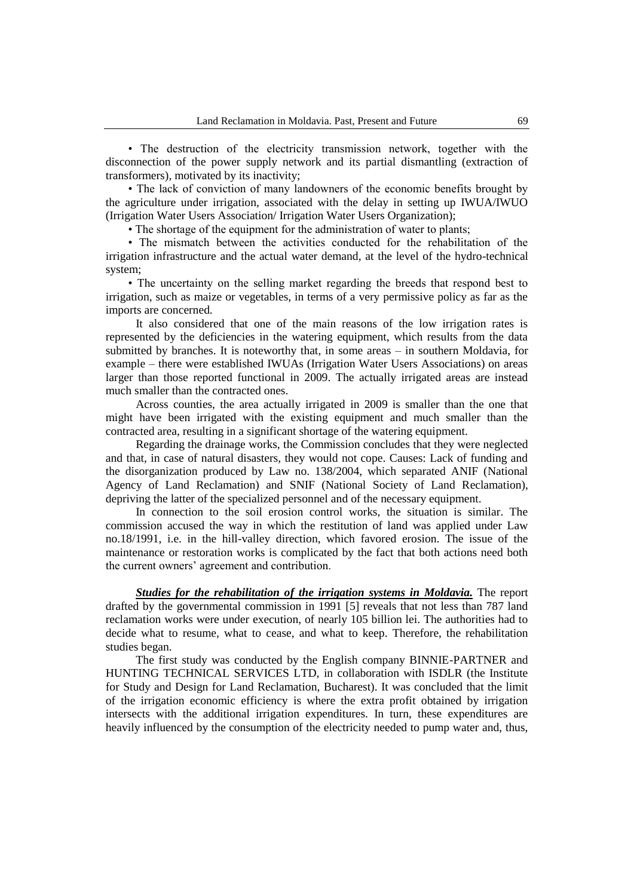• The destruction of the electricity transmission network, together with the disconnection of the power supply network and its partial dismantling (extraction of transformers), motivated by its inactivity;

• The lack of conviction of many landowners of the economic benefits brought by the agriculture under irrigation, associated with the delay in setting up IWUA/IWUO (Irrigation Water Users Association/ Irrigation Water Users Organization);

• The shortage of the equipment for the administration of water to plants;

• The mismatch between the activities conducted for the rehabilitation of the irrigation infrastructure and the actual water demand, at the level of the hydro-technical system;

• The uncertainty on the selling market regarding the breeds that respond best to irrigation, such as maize or vegetables, in terms of a very permissive policy as far as the imports are concerned.

It also considered that one of the main reasons of the low irrigation rates is represented by the deficiencies in the watering equipment, which results from the data submitted by branches. It is noteworthy that, in some areas – in southern Moldavia, for example – there were established IWUAs (Irrigation Water Users Associations) on areas larger than those reported functional in 2009. The actually irrigated areas are instead much smaller than the contracted ones.

Across counties, the area actually irrigated in 2009 is smaller than the one that might have been irrigated with the existing equipment and much smaller than the contracted area, resulting in a significant shortage of the watering equipment.

Regarding the drainage works, the Commission concludes that they were neglected and that, in case of natural disasters, they would not cope. Causes: Lack of funding and the disorganization produced by Law no. 138/2004, which separated ANIF (National Agency of Land Reclamation) and SNIF (National Society of Land Reclamation), depriving the latter of the specialized personnel and of the necessary equipment.

In connection to the soil erosion control works, the situation is similar. The commission accused the way in which the restitution of land was applied under Law no.18/1991, i.e. in the hill-valley direction, which favored erosion. The issue of the maintenance or restoration works is complicated by the fact that both actions need both the current owners' agreement and contribution.

*Studies for the rehabilitation of the irrigation systems in Moldavia.* The report drafted by the governmental commission in 1991 [5] reveals that not less than 787 land reclamation works were under execution, of nearly 105 billion lei. The authorities had to decide what to resume, what to cease, and what to keep. Therefore, the rehabilitation studies began.

The first study was conducted by the English company BINNIE-PARTNER and HUNTING TECHNICAL SERVICES LTD, in collaboration with ISDLR (the Institute for Study and Design for Land Reclamation, Bucharest). It was concluded that the limit of the irrigation economic efficiency is where the extra profit obtained by irrigation intersects with the additional irrigation expenditures. In turn, these expenditures are heavily influenced by the consumption of the electricity needed to pump water and, thus,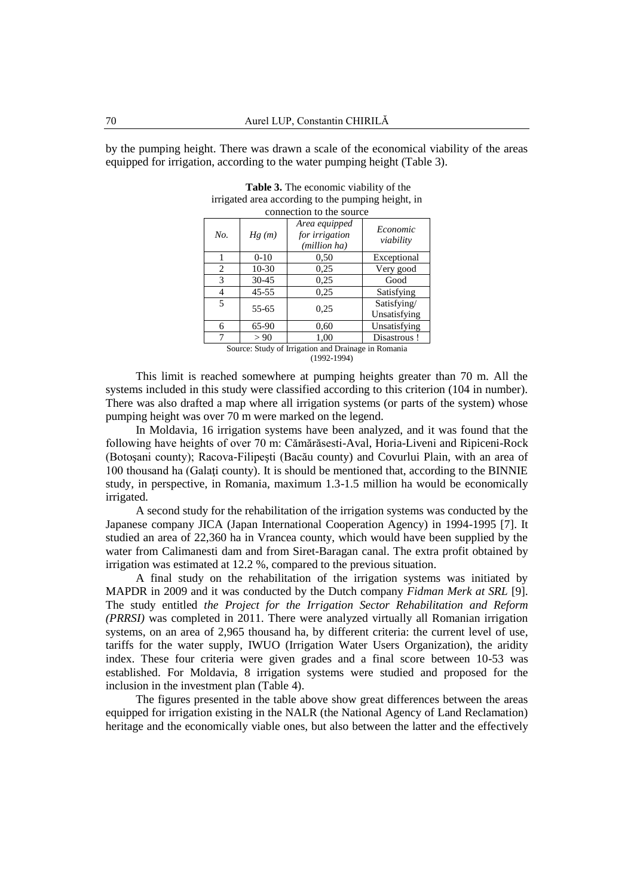by the pumping height. There was drawn a scale of the economical viability of the areas equipped for irrigation, according to the water pumping height (Table 3).

| connection to the source                            |           |                                                 |                             |  |  |  |  |
|-----------------------------------------------------|-----------|-------------------------------------------------|-----------------------------|--|--|--|--|
| No.                                                 | Hg(m)     | Area equipped<br>for irrigation<br>(million ha) | Economic<br>viability       |  |  |  |  |
|                                                     | $0-10$    | 0.50                                            | Exceptional                 |  |  |  |  |
| 2                                                   | $10-30$   | 0.25                                            | Very good                   |  |  |  |  |
| 3                                                   | $30 - 45$ | 0.25                                            | Good                        |  |  |  |  |
| 4                                                   | $45 - 55$ | 0.25                                            | Satisfying                  |  |  |  |  |
| 5                                                   | $55 - 65$ | 0.25                                            | Satisfying/<br>Unsatisfying |  |  |  |  |
| 6                                                   | 65-90     | 0.60                                            | Unsatisfying                |  |  |  |  |
| 7                                                   | > 90      | 1,00                                            | Disastrous!                 |  |  |  |  |
| Source: Study of Irrigation and Drainage in Romania |           |                                                 |                             |  |  |  |  |

| <b>Table 3.</b> The economic viability of the      |
|----------------------------------------------------|
| irrigated area according to the pumping height, in |
|                                                    |

(1992-1994)

This limit is reached somewhere at pumping heights greater than 70 m. All the systems included in this study were classified according to this criterion (104 in number). There was also drafted a map where all irrigation systems (or parts of the system) whose pumping height was over 70 m were marked on the legend.

In Moldavia, 16 irrigation systems have been analyzed, and it was found that the following have heights of over 70 m: Cămărăsesti-Aval, Horia-Liveni and Ripiceni-Rock (Botoşani county); Racova-Filipeşti (Bacău county) and Covurlui Plain, with an area of 100 thousand ha (Galaţi county). It is should be mentioned that, according to the BINNIE study, in perspective, in Romania, maximum 1.3-1.5 million ha would be economically irrigated.

A second study for the rehabilitation of the irrigation systems was conducted by the Japanese company JICA (Japan International Cooperation Agency) in 1994-1995 [7]. It studied an area of 22,360 ha in Vrancea county, which would have been supplied by the water from Calimanesti dam and from Siret-Baragan canal. The extra profit obtained by irrigation was estimated at 12.2 %, compared to the previous situation.

A final study on the rehabilitation of the irrigation systems was initiated by MAPDR in 2009 and it was conducted by the Dutch company *Fidman Merk at SRL* [9]. The study entitled *the Project for the Irrigation Sector Rehabilitation and Reform (PRRSI)* was completed in 2011. There were analyzed virtually all Romanian irrigation systems, on an area of 2,965 thousand ha, by different criteria: the current level of use, tariffs for the water supply, IWUO (Irrigation Water Users Organization), the aridity index. These four criteria were given grades and a final score between 10-53 was established. For Moldavia, 8 irrigation systems were studied and proposed for the inclusion in the investment plan (Table 4).

The figures presented in the table above show great differences between the areas equipped for irrigation existing in the NALR (the National Agency of Land Reclamation) heritage and the economically viable ones, but also between the latter and the effectively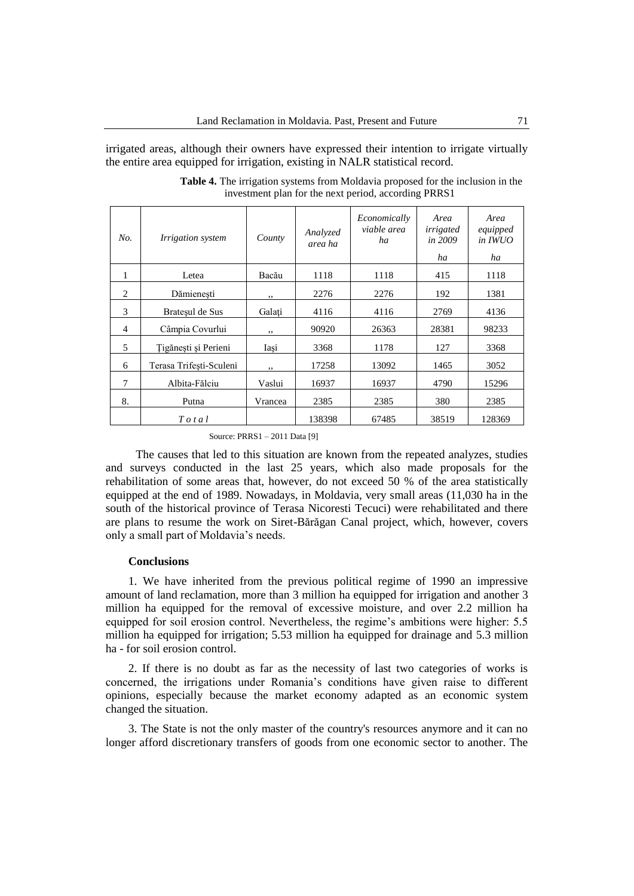irrigated areas, although their owners have expressed their intention to irrigate virtually the entire area equipped for irrigation, existing in NALR statistical record.

| No.            | <i>Irrigation system</i> | County  | Analyzed<br>area ha | Economically<br>viable area<br>ha | Area<br>irrigated<br>in 2009<br>ha | Area<br>equipped<br>in <b>IWUO</b><br>ha |
|----------------|--------------------------|---------|---------------------|-----------------------------------|------------------------------------|------------------------------------------|
| 1              | Letea                    | Bacău   | 1118                | 1118                              | 415                                | 1118                                     |
| 2              | Dămienesti               | ,,      | 2276                | 2276                              | 192                                | 1381                                     |
| 3              | Bratesul de Sus          | Galati  | 4116                | 4116                              | 2769                               | 4136                                     |
| $\overline{4}$ | Câmpia Covurlui          | ,,      | 90920               | 26363                             | 28381                              | 98233                                    |
| 5              | Tigănești și Perieni     | Iași    | 3368                | 1178                              | 127                                | 3368                                     |
| 6              | Terasa Trifesti-Sculeni  | , ,     | 17258               | 13092                             | 1465                               | 3052                                     |
| 7              | Albita-Fălciu            | Vaslui  | 16937               | 16937                             | 4790                               | 15296                                    |
| 8.             | Putna                    | Vrancea | 2385                | 2385                              | 380                                | 2385                                     |
|                | $T$ o t a l              |         | 138398              | 67485                             | 38519                              | 128369                                   |

**Table 4.** The irrigation systems from Moldavia proposed for the inclusion in the investment plan for the next period, according PRRS1

Source: PRRS1 – 2011 Data [9]

The causes that led to this situation are known from the repeated analyzes, studies and surveys conducted in the last 25 years, which also made proposals for the rehabilitation of some areas that, however, do not exceed 50 % of the area statistically equipped at the end of 1989. Nowadays, in Moldavia, very small areas (11,030 ha in the south of the historical province of Terasa Nicoresti Tecuci) were rehabilitated and there are plans to resume the work on Siret-Bărăgan Canal project, which, however, covers only a small part of Moldavia's needs.

## **Conclusions**

1. We have inherited from the previous political regime of 1990 an impressive amount of land reclamation, more than 3 million ha equipped for irrigation and another 3 million ha equipped for the removal of excessive moisture, and over 2.2 million ha equipped for soil erosion control. Nevertheless, the regime's ambitions were higher: 5.5 million ha equipped for irrigation; 5.53 million ha equipped for drainage and 5.3 million ha - for soil erosion control.

2. If there is no doubt as far as the necessity of last two categories of works is concerned, the irrigations under Romania's conditions have given raise to different opinions, especially because the market economy adapted as an economic system changed the situation.

3. The State is not the only master of the country's resources anymore and it can no longer afford discretionary transfers of goods from one economic sector to another. The